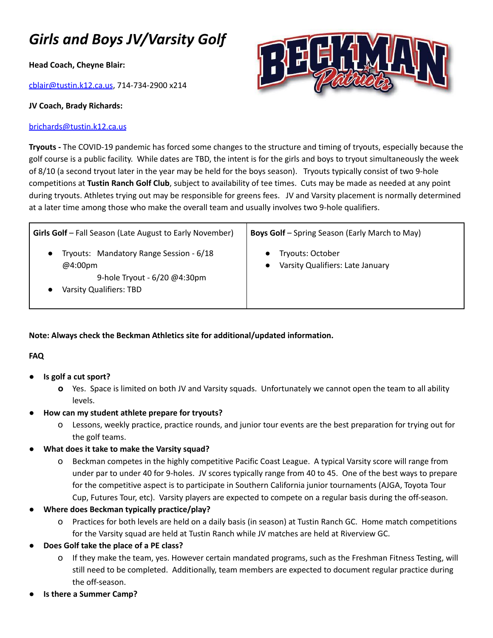## *Girls and Boys JV/Varsity Golf*

**Head Coach, Cheyne Blair:**

[cblair@tustin.k12.ca.us](mailto:cblair@tustin.k12.ca.us), 714-734-2900 x214

## **JV Coach, Brady Richards:**

## [brichards@tustin.k12.ca.us](mailto:brichards@tustin.k12.ca.us)



**Tryouts -** The COVID-19 pandemic has forced some changes to the structure and timing of tryouts, especially because the golf course is a public facility. While dates are TBD, the intent is for the girls and boys to tryout simultaneously the week of 8/10 (a second tryout later in the year may be held for the boys season). Tryouts typically consist of two 9-hole competitions at **Tustin Ranch Golf Club**, subject to availability of tee times. Cuts may be made as needed at any point during tryouts. Athletes trying out may be responsible for greens fees. JV and Varsity placement is normally determined at a later time among those who make the overall team and usually involves two 9-hole qualifiers.

| <b>Girls Golf</b> – Fall Season (Late August to Early November)                                               | <b>Boys Golf</b> - Spring Season (Early March to May) |
|---------------------------------------------------------------------------------------------------------------|-------------------------------------------------------|
| Tryouts: Mandatory Range Session - 6/18<br>@4:00pm<br>9-hole Tryout - 6/20 @4:30pm<br>Varsity Qualifiers: TBD | Tryouts: October<br>Varsity Qualifiers: Late January  |

**Note: Always check the Beckman Athletics site for additional/updated information.**

## **FAQ**

- **● Is golf a cut sport?**
	- **o** Yes. Space is limited on both JV and Varsity squads. Unfortunately we cannot open the team to all ability levels.
- **● How can my student athlete prepare for tryouts?**
	- o Lessons, weekly practice, practice rounds, and junior tour events are the best preparation for trying out for the golf teams.
- **● What does it take to make the Varsity squad?**
	- o Beckman competes in the highly competitive Pacific Coast League. A typical Varsity score will range from under par to under 40 for 9-holes. JV scores typically range from 40 to 45. One of the best ways to prepare for the competitive aspect is to participate in Southern California junior tournaments (AJGA, Toyota Tour Cup, Futures Tour, etc). Varsity players are expected to compete on a regular basis during the off-season.
- **● Where does Beckman typically practice/play?**
	- o Practices for both levels are held on a daily basis (in season) at Tustin Ranch GC. Home match competitions for the Varsity squad are held at Tustin Ranch while JV matches are held at Riverview GC.
- **● Does Golf take the place of a PE class?**
	- o If they make the team, yes. However certain mandated programs, such as the Freshman Fitness Testing, will still need to be completed. Additionally, team members are expected to document regular practice during the off-season.
- **● Is there a Summer Camp?**